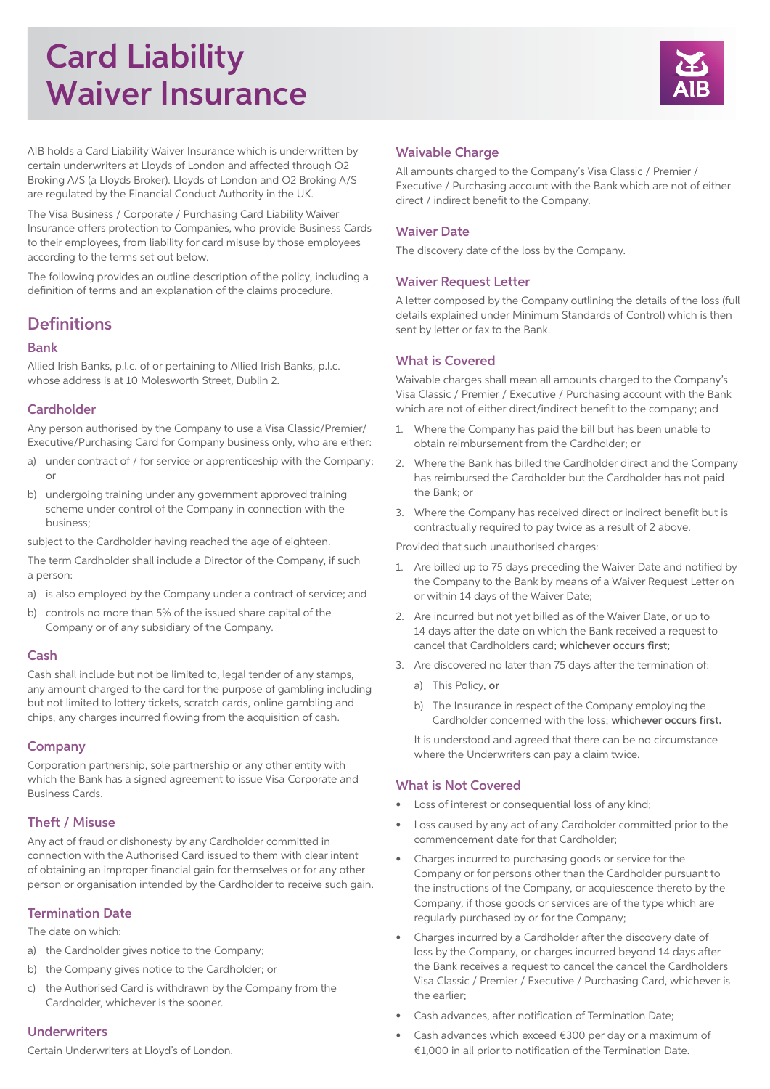# Card Liability Waiver Insurance



AIB holds a Card Liability Waiver Insurance which is underwritten by certain underwriters at Lloyds of London and affected through O2 Broking A/S (a Lloyds Broker). Lloyds of London and O2 Broking A/S are regulated by the Financial Conduct Authority in the UK.

The Visa Business / Corporate / Purchasing Card Liability Waiver Insurance offers protection to Companies, who provide Business Cards to their employees, from liability for card misuse by those employees according to the terms set out below.

The following provides an outline description of the policy, including a definition of terms and an explanation of the claims procedure.

## **Definitions**

## Bank

Allied Irish Banks, p.l.c. of or pertaining to Allied Irish Banks, p.l.c. whose address is at 10 Molesworth Street, Dublin 2.

## **Cardholder**

Any person authorised by the Company to use a Visa Classic/Premier/ Executive/Purchasing Card for Company business only, who are either:

- a) under contract of / for service or apprenticeship with the Company; or
- b) undergoing training under any government approved training scheme under control of the Company in connection with the business;

subject to the Cardholder having reached the age of eighteen.

The term Cardholder shall include a Director of the Company, if such a person:

- a) is also employed by the Company under a contract of service; and
- b) controls no more than 5% of the issued share capital of the Company or of any subsidiary of the Company.

## Cash

Cash shall include but not be limited to, legal tender of any stamps, any amount charged to the card for the purpose of gambling including but not limited to lottery tickets, scratch cards, online gambling and chips, any charges incurred flowing from the acquisition of cash.

## Company

Corporation partnership, sole partnership or any other entity with which the Bank has a signed agreement to issue Visa Corporate and Business Cards.

## Theft / Misuse

Any act of fraud or dishonesty by any Cardholder committed in connection with the Authorised Card issued to them with clear intent of obtaining an improper financial gain for themselves or for any other person or organisation intended by the Cardholder to receive such gain.

## Termination Date

The date on which:

- a) the Cardholder gives notice to the Company;
- b) the Company gives notice to the Cardholder; or
- c) the Authorised Card is withdrawn by the Company from the Cardholder, whichever is the sooner.

## Underwriters

Certain Underwriters at Lloyd's of London.

## Waivable Charge

All amounts charged to the Company's Visa Classic / Premier / Executive / Purchasing account with the Bank which are not of either direct / indirect benefit to the Company.

#### Waiver Date

The discovery date of the loss by the Company.

## **Waiver Request Letter**

A letter composed by the Company outlining the details of the loss (full details explained under Minimum Standards of Control) which is then sent by letter or fax to the Bank.

## What is Covered

Waivable charges shall mean all amounts charged to the Company's Visa Classic / Premier / Executive / Purchasing account with the Bank which are not of either direct/indirect benefit to the company; and

- 1. Where the Company has paid the bill but has been unable to obtain reimbursement from the Cardholder; or
- 2. Where the Bank has billed the Cardholder direct and the Company has reimbursed the Cardholder but the Cardholder has not paid the Bank; or
- 3. Where the Company has received direct or indirect benefit but is contractually required to pay twice as a result of 2 above.

Provided that such unauthorised charges:

- 1. Are billed up to 75 days preceding the Waiver Date and notified by the Company to the Bank by means of a Waiver Request Letter on or within 14 days of the Waiver Date;
- 2. Are incurred but not yet billed as of the Waiver Date, or up to 14 days after the date on which the Bank received a request to cancel that Cardholders card; whichever occurs first;
- 3. Are discovered no later than 75 days after the termination of:
	- a) This Policy, or
	- b) The Insurance in respect of the Company employing the Cardholder concerned with the loss; whichever occurs first.

 It is understood and agreed that there can be no circumstance where the Underwriters can pay a claim twice.

#### What is Not Covered

- Loss of interest or consequential loss of any kind;
- Loss caused by any act of any Cardholder committed prior to the commencement date for that Cardholder;
- Charges incurred to purchasing goods or service for the Company or for persons other than the Cardholder pursuant to the instructions of the Company, or acquiescence thereto by the Company, if those goods or services are of the type which are regularly purchased by or for the Company;
- Charges incurred by a Cardholder after the discovery date of loss by the Company, or charges incurred beyond 14 days after the Bank receives a request to cancel the cancel the Cardholders Visa Classic / Premier / Executive / Purchasing Card, whichever is the earlier;
- Cash advances, after notification of Termination Date;
- Cash advances which exceed €300 per day or a maximum of €1,000 in all prior to notification of the Termination Date.